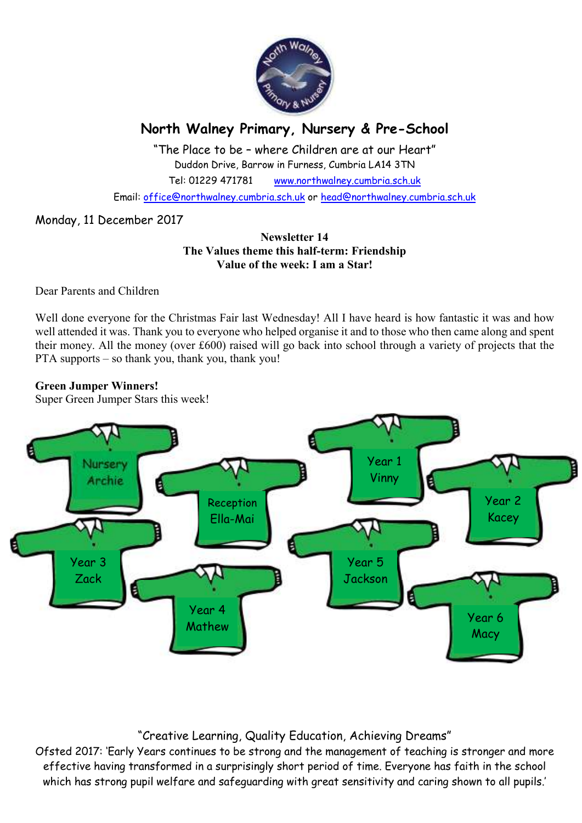

# **North Walney Primary, Nursery & Pre-School**

"The Place to be – where Children are at our Heart" Duddon Drive, Barrow in Furness, Cumbria LA14 3TN Tel: 01229 471781 www.northwalney.cumbria.sch.uk

Email: office@northwalney.cumbria.sch.uk or head@northwalney.cumbria.sch.uk

# Monday, 11 December 2017

### **Newsletter 14 The Values theme this half-term: Friendship Value of the week: I am a Star!**

Dear Parents and Children

Well done everyone for the Christmas Fair last Wednesday! All I have heard is how fantastic it was and how well attended it was. Thank you to everyone who helped organise it and to those who then came along and spent their money. All the money (over £600) raised will go back into school through a variety of projects that the PTA supports – so thank you, thank you, thank you!

### **Green Jumper Winners!**

Super Green Jumper Stars this week!



# "Creative Learning, Quality Education, Achieving Dreams"

Ofsted 2017: 'Early Years continues to be strong and the management of teaching is stronger and more effective having transformed in a surprisingly short period of time. Everyone has faith in the school which has strong pupil welfare and safeguarding with great sensitivity and caring shown to all pupils.'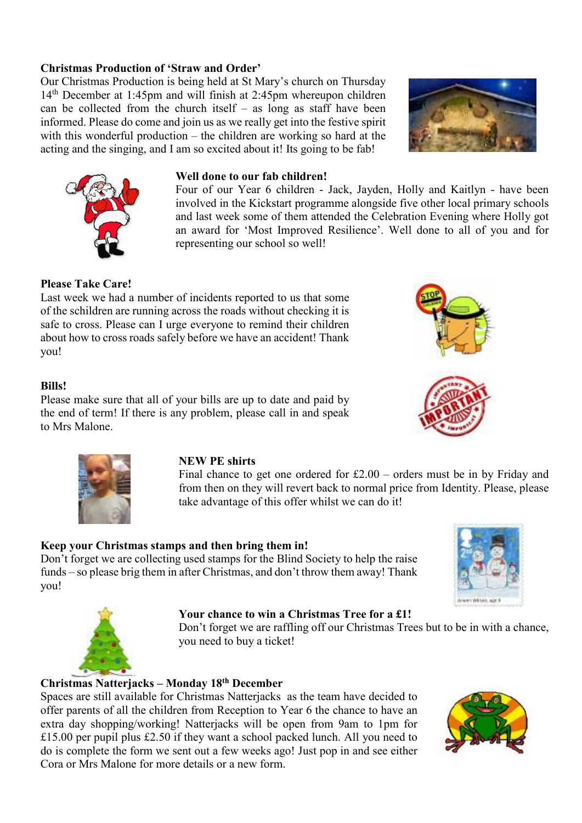# **Christmas Production of 'Straw and Order'**

Our Christmas Production is being held at St Mary's church on Thursday 14th December at 1:45pm and will finish at 2:45pm whereupon children can be collected from the church itself – as long as staff have been informed. Please do come and join us as we really get into the festive spirit with this wonderful production – the children are working so hard at the acting and the singing, and I am so excited about it! Its going to be fab!





### **Well done to our fab children!**

Four of our Year 6 children - Jack, Jayden, Holly and Kaitlyn - have been involved in the Kickstart programme alongside five other local primary schools and last week some of them attended the Celebration Evening where Holly got an award for 'Most Improved Resilience'. Well done to all of you and for representing our school so well!

## **Please Take Care!**

Last week we had a number of incidents reported to us that some of the schildren are running across the roads without checking it is safe to cross. Please can I urge everyone to remind their children about how to cross roads safely before we have an accident! Thank you!

### **Bills!**

Please make sure that all of your bills are up to date and paid by the end of term! If there is any problem, please call in and speak to Mrs Malone.



### **NEW PE shirts**

Final chance to get one ordered for £2.00 – orders must be in by Friday and from then on they will revert back to normal price from Identity. Please, please take advantage of this offer whilst we can do it!

### **Keep your Christmas stamps and then bring them in!**

Don't forget we are collecting used stamps for the Blind Society to help the raise funds – so please brig them in after Christmas, and don't throw them away! Thank you!





### **Your chance to win a Christmas Tree for a £1!**

Don't forget we are raffling off our Christmas Trees but to be in with a chance, you need to buy a ticket!

# **Christmas Natterjacks – Monday 18th December**

Spaces are still available for Christmas Natterjacks as the team have decided to offer parents of all the children from Reception to Year 6 the chance to have an extra day shopping/working! Natterjacks will be open from 9am to 1pm for £15.00 per pupil plus £2.50 if they want a school packed lunch. All you need to do is complete the form we sent out a few weeks ago! Just pop in and see either Cora or Mrs Malone for more details or a new form.